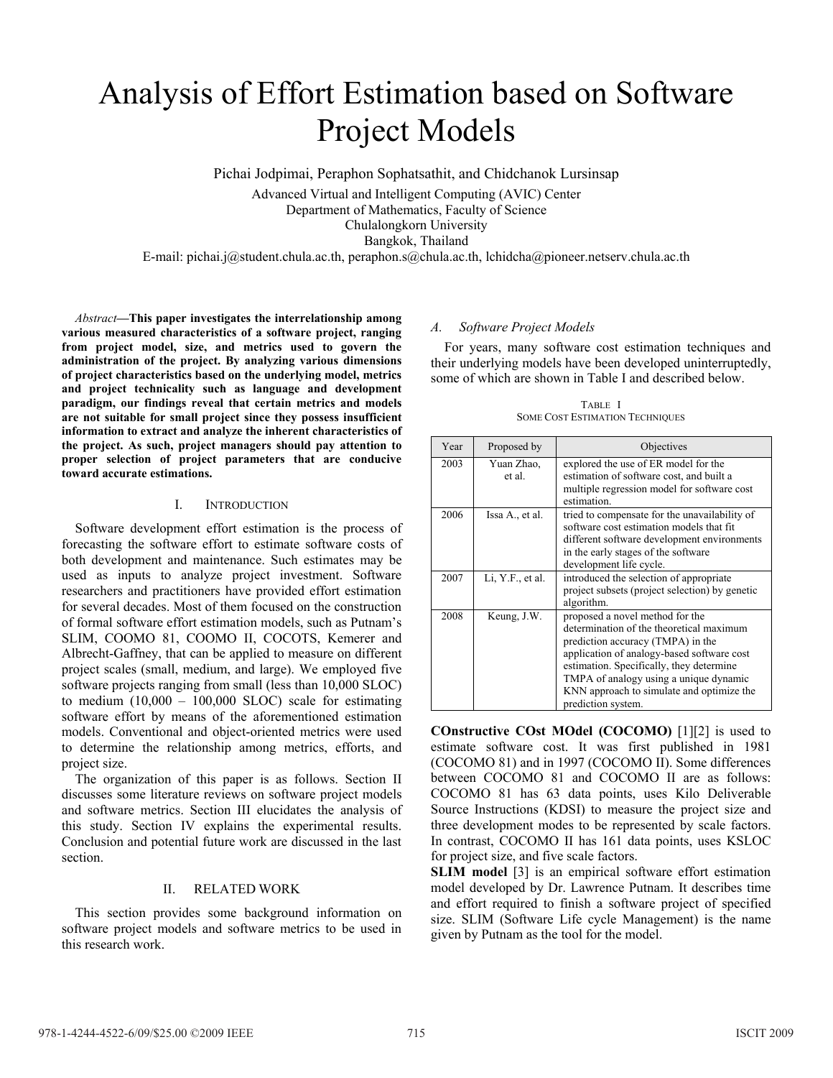# Analysis of Effort Estimation based on Software Project Models

Pichai Jodpimai, Peraphon Sophatsathit, and Chidchanok Lursinsap

Advanced Virtual and Intelligent Computing (AVIC) Center Department of Mathematics, Faculty of Science Chulalongkorn University

Bangkok, Thailand

E-mail: pichai.j@student.chula.ac.th, peraphon.s@chula.ac.th, lchidcha@pioneer.netserv.chula.ac.th

*Abstract***—This paper investigates the interrelationship among various measured characteristics of a software project, ranging from project model, size, and metrics used to govern the administration of the project. By analyzing various dimensions of project characteristics based on the underlying model, metrics and project technicality such as language and development paradigm, our findings reveal that certain metrics and models are not suitable for small project since they possess insufficient information to extract and analyze the inherent characteristics of the project. As such, project managers should pay attention to proper selection of project parameters that are conducive toward accurate estimations.** 

## I. INTRODUCTION

Software development effort estimation is the process of forecasting the software effort to estimate software costs of both development and maintenance. Such estimates may be used as inputs to analyze project investment. Software researchers and practitioners have provided effort estimation for several decades. Most of them focused on the construction of formal software effort estimation models, such as Putnam's SLIM, COOMO 81, COOMO II, COCOTS, Kemerer and Albrecht-Gaffney, that can be applied to measure on different project scales (small, medium, and large). We employed five software projects ranging from small (less than 10,000 SLOC) to medium (10,000 – 100,000 SLOC) scale for estimating software effort by means of the aforementioned estimation models. Conventional and object-oriented metrics were used to determine the relationship among metrics, efforts, and project size.

The organization of this paper is as follows. Section II discusses some literature reviews on software project models and software metrics. Section III elucidates the analysis of this study. Section IV explains the experimental results. Conclusion and potential future work are discussed in the last section.

## II. RELATED WORK

This section provides some background information on software project models and software metrics to be used in this research work.

# *A. Software Project Models*

For years, many software cost estimation techniques and their underlying models have been developed uninterruptedly, some of which are shown in Table I and described below.

| TABLE I                                |  |
|----------------------------------------|--|
| <b>SOME COST ESTIMATION TECHNIQUES</b> |  |

| Year | Proposed by          | Objectives                                                                                                                                                                                                                                                                                                              |
|------|----------------------|-------------------------------------------------------------------------------------------------------------------------------------------------------------------------------------------------------------------------------------------------------------------------------------------------------------------------|
| 2003 | Yuan Zhao,<br>et al. | explored the use of ER model for the<br>estimation of software cost, and built a<br>multiple regression model for software cost<br>estimation.                                                                                                                                                                          |
| 2006 | Issa A., et al.      | tried to compensate for the unavailability of<br>software cost estimation models that fit<br>different software development environments<br>in the early stages of the software<br>development life cycle.                                                                                                              |
| 2007 | Li, Y.F., et al.     | introduced the selection of appropriate<br>project subsets (project selection) by genetic<br>algorithm.                                                                                                                                                                                                                 |
| 2008 | Keung, J.W.          | proposed a novel method for the<br>determination of the theoretical maximum<br>prediction accuracy (TMPA) in the<br>application of analogy-based software cost<br>estimation. Specifically, they determine<br>TMPA of analogy using a unique dynamic<br>KNN approach to simulate and optimize the<br>prediction system. |

**COnstructive COst MOdel (COCOMO)** [1][2] is used to estimate software cost. It was first published in 1981 (COCOMO 81) and in 1997 (COCOMO II). Some differences between COCOMO 81 and COCOMO II are as follows: COCOMO 81 has 63 data points, uses Kilo Deliverable Source Instructions (KDSI) to measure the project size and three development modes to be represented by scale factors. In contrast, COCOMO II has 161 data points, uses KSLOC for project size, and five scale factors.

**SLIM model** [3] is an empirical software effort estimation model developed by Dr. Lawrence Putnam. It describes time and effort required to finish a software project of specified size. SLIM (Software Life cycle Management) is the name given by Putnam as the tool for the model.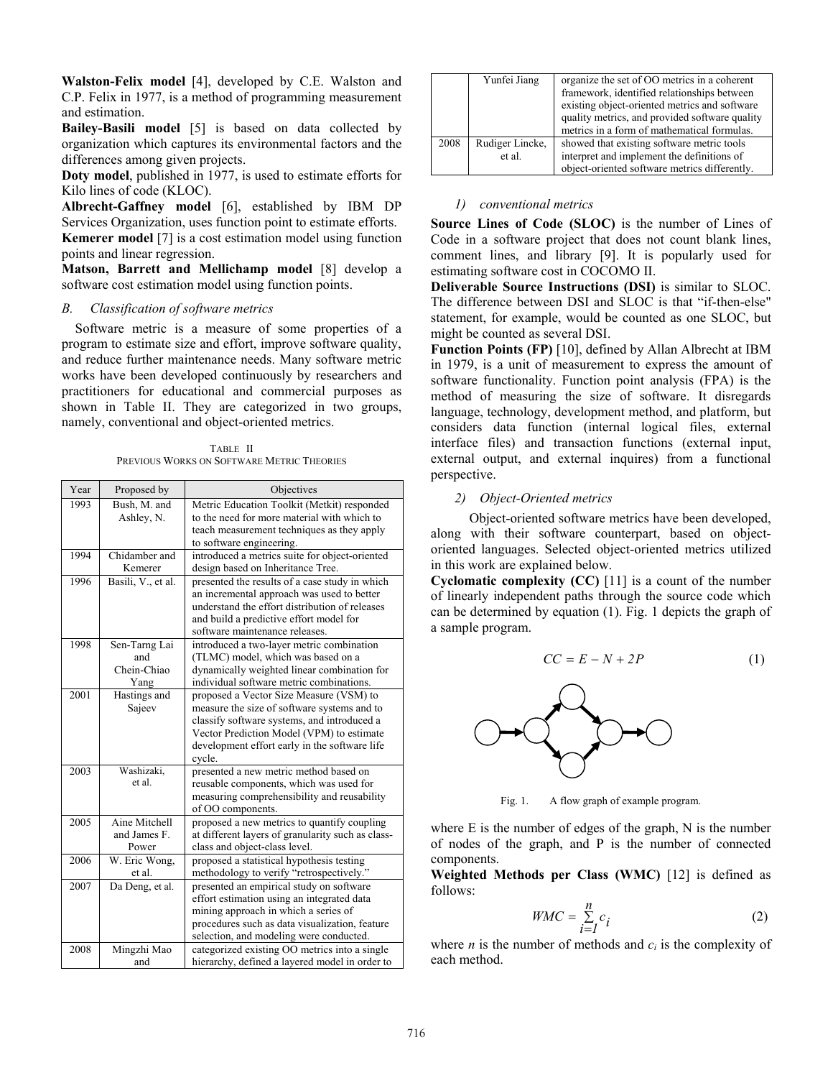**Walston-Felix model** [4], developed by C.E. Walston and C.P. Felix in 1977, is a method of programming measurement and estimation.

**Bailey-Basili model** [5] is based on data collected by organization which captures its environmental factors and the differences among given projects.

**Doty model**, published in 1977, is used to estimate efforts for Kilo lines of code (KLOC).

**Albrecht-Gaffney model** [6], established by IBM DP Services Organization, uses function point to estimate efforts. **Kemerer model** [7] is a cost estimation model using function points and linear regression.

**Matson, Barrett and Mellichamp model** [8] develop a software cost estimation model using function points.

#### *B. Classification of software metrics*

Software metric is a measure of some properties of a program to estimate size and effort, improve software quality, and reduce further maintenance needs. Many software metric works have been developed continuously by researchers and practitioners for educational and commercial purposes as shown in Table II. They are categorized in two groups, namely, conventional and object-oriented metrics.

TABLE II PREVIOUS WORKS ON SOFTWARE METRIC THEORIES

| Year | Proposed by                   | Objectives                                                                                 |
|------|-------------------------------|--------------------------------------------------------------------------------------------|
| 1993 | Bush, M. and<br>Ashley, N.    | Metric Education Toolkit (Metkit) responded<br>to the need for more material with which to |
|      |                               | teach measurement techniques as they apply<br>to software engineering.                     |
| 1994 | Chidamber and<br>Kemerer      | introduced a metrics suite for object-oriented                                             |
| 1996 | Basili, V., et al.            | design based on Inheritance Tree.<br>presented the results of a case study in which        |
|      |                               | an incremental approach was used to better                                                 |
|      |                               | understand the effort distribution of releases                                             |
|      |                               | and build a predictive effort model for                                                    |
|      |                               | software maintenance releases.                                                             |
| 1998 | Sen-Tarng Lai                 | introduced a two-layer metric combination                                                  |
|      | and                           | (TLMC) model, which was based on a                                                         |
|      | Chein-Chiao                   | dynamically weighted linear combination for                                                |
|      | Yang                          | individual software metric combinations.                                                   |
| 2001 | Hastings and<br>Sajeev        | proposed a Vector Size Measure (VSM) to                                                    |
|      |                               | measure the size of software systems and to<br>classify software systems, and introduced a |
|      |                               | Vector Prediction Model (VPM) to estimate                                                  |
|      |                               | development effort early in the software life                                              |
|      |                               | cycle.                                                                                     |
| 2003 | Washizaki,                    | presented a new metric method based on                                                     |
|      | et al.                        | reusable components, which was used for                                                    |
|      |                               | measuring comprehensibility and reusability                                                |
|      |                               | of OO components.                                                                          |
| 2005 | Aine Mitchell<br>and James F. | proposed a new metrics to quantify coupling                                                |
|      | Power                         | at different layers of granularity such as class-<br>class and object-class level.         |
| 2006 | W. Eric Wong,                 | proposed a statistical hypothesis testing                                                  |
|      | et al.                        | methodology to verify "retrospectively."                                                   |
| 2007 | Da Deng, et al.               | presented an empirical study on software                                                   |
|      |                               | effort estimation using an integrated data                                                 |
|      |                               | mining approach in which a series of                                                       |
|      |                               | procedures such as data visualization, feature                                             |
|      |                               | selection, and modeling were conducted.                                                    |
| 2008 | Mingzhi Mao                   | categorized existing OO metrics into a single                                              |
|      | and                           | hierarchy, defined a layered model in order to                                             |

|      | Yunfei Jiang    | organize the set of OO metrics in a coherent<br>framework, identified relationships between |
|------|-----------------|---------------------------------------------------------------------------------------------|
|      |                 | existing object-oriented metrics and software                                               |
|      |                 | quality metrics, and provided software quality                                              |
|      |                 | metrics in a form of mathematical formulas.                                                 |
| 2008 | Rudiger Lincke, | showed that existing software metric tools                                                  |
|      | et al.          | interpret and implement the definitions of                                                  |
|      |                 | object-oriented software metrics differently.                                               |

## *1) conventional metrics*

**Source Lines of Code (SLOC)** is the number of Lines of Code in a software project that does not count blank lines, comment lines, and library [9]. It is popularly used for estimating software cost in COCOMO II.

**Deliverable Source Instructions (DSI)** is similar to SLOC. The difference between DSI and SLOC is that "if-then-else" statement, for example, would be counted as one SLOC, but might be counted as several DSI.

**Function Points (FP)** [10], defined by Allan Albrecht at IBM in 1979, is a unit of measurement to express the amount of software functionality. Function point analysis (FPA) is the method of measuring the size of software. It disregards language, technology, development method, and platform, but considers data function (internal logical files, external interface files) and transaction functions (external input, external output, and external inquires) from a functional perspective.

# *2) Object-Oriented metrics*

Object-oriented software metrics have been developed, along with their software counterpart, based on objectoriented languages. Selected object-oriented metrics utilized in this work are explained below.

**Cyclomatic complexity (CC)** [11] is a count of the number of linearly independent paths through the source code which can be determined by equation (1). Fig. 1 depicts the graph of a sample program.

$$
CC = E - N + 2P \tag{1}
$$



Fig. 1. A flow graph of example program.

where E is the number of edges of the graph, N is the number of nodes of the graph, and P is the number of connected components.

**Weighted Methods per Class (WMC)** [12] is defined as follows:

$$
WMC = \sum_{i=1}^{n} c_i
$$
 (2)

where *n* is the number of methods and  $c_i$  is the complexity of each method.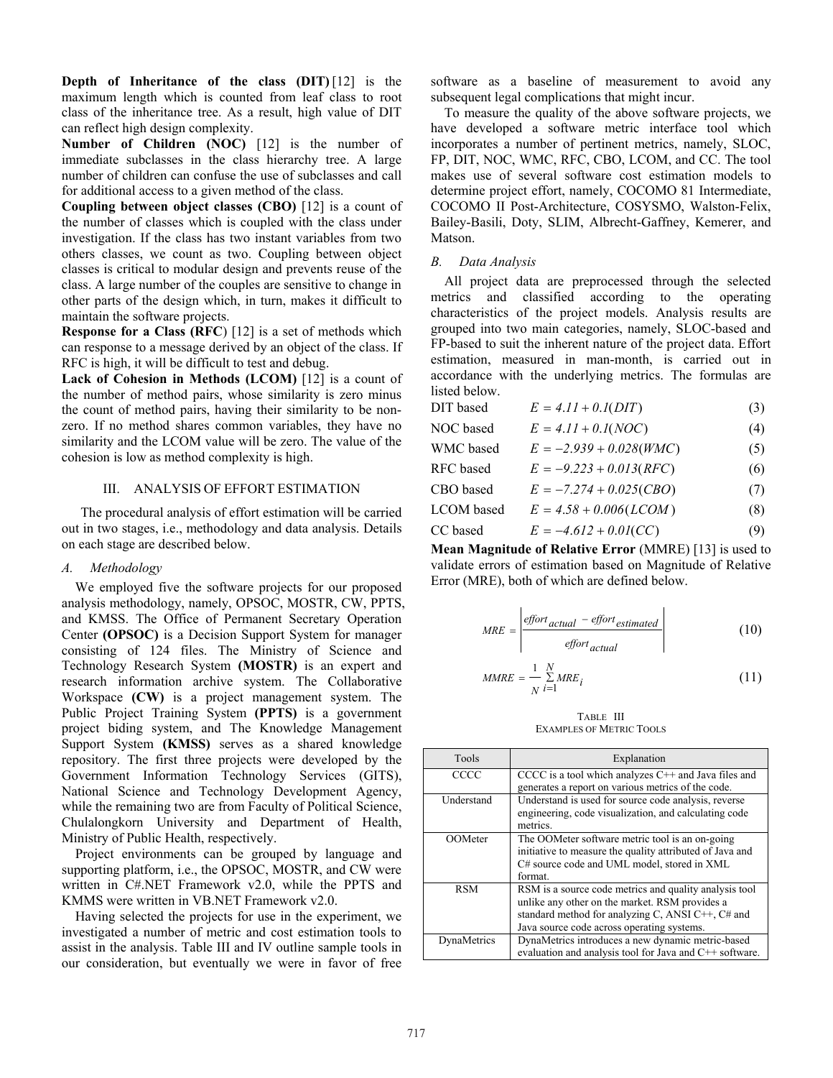**Depth of Inheritance of the class (DIT)** [12] is the maximum length which is counted from leaf class to root class of the inheritance tree. As a result, high value of DIT can reflect high design complexity.

**Number of Children (NOC)** [12] is the number of immediate subclasses in the class hierarchy tree. A large number of children can confuse the use of subclasses and call for additional access to a given method of the class.

**Coupling between object classes (CBO)** [12] is a count of the number of classes which is coupled with the class under investigation. If the class has two instant variables from two others classes, we count as two. Coupling between object classes is critical to modular design and prevents reuse of the class. A large number of the couples are sensitive to change in other parts of the design which, in turn, makes it difficult to maintain the software projects.

**Response for a Class (RFC**) [12] is a set of methods which can response to a message derived by an object of the class. If RFC is high, it will be difficult to test and debug.

**Lack of Cohesion in Methods (LCOM)** [12] is a count of the number of method pairs, whose similarity is zero minus the count of method pairs, having their similarity to be nonzero. If no method shares common variables, they have no similarity and the LCOM value will be zero. The value of the cohesion is low as method complexity is high.

#### III. ANALYSIS OF EFFORT ESTIMATION

The procedural analysis of effort estimation will be carried out in two stages, i.e., methodology and data analysis. Details on each stage are described below.

## *A. Methodology*

We employed five the software projects for our proposed analysis methodology, namely, OPSOC, MOSTR, CW, PPTS, and KMSS. The Office of Permanent Secretary Operation Center **(OPSOC)** is a Decision Support System for manager consisting of 124 files. The Ministry of Science and Technology Research System **(MOSTR)** is an expert and research information archive system. The Collaborative Workspace **(CW)** is a project management system. The Public Project Training System **(PPTS)** is a government project biding system, and The Knowledge Management Support System **(KMSS)** serves as a shared knowledge repository. The first three projects were developed by the Government Information Technology Services (GITS), National Science and Technology Development Agency, while the remaining two are from Faculty of Political Science, Chulalongkorn University and Department of Health, Ministry of Public Health, respectively.

Project environments can be grouped by language and supporting platform, i.e., the OPSOC, MOSTR, and CW were written in C#.NET Framework v2.0, while the PPTS and KMMS were written in VB.NET Framework v2.0.

Having selected the projects for use in the experiment, we investigated a number of metric and cost estimation tools to assist in the analysis. Table III and IV outline sample tools in our consideration, but eventually we were in favor of free software as a baseline of measurement to avoid any subsequent legal complications that might incur.

To measure the quality of the above software projects, we have developed a software metric interface tool which incorporates a number of pertinent metrics, namely, SLOC, FP, DIT, NOC, WMC, RFC, CBO, LCOM, and CC. The tool makes use of several software cost estimation models to determine project effort, namely, COCOMO 81 Intermediate, COCOMO II Post-Architecture, COSYSMO, Walston-Felix, Bailey-Basili, Doty, SLIM, Albrecht-Gaffney, Kemerer, and Matson.

### *B. Data Analysis*

All project data are preprocessed through the selected metrics and classified according to the operating characteristics of the project models. Analysis results are grouped into two main categories, namely, SLOC-based and FP-based to suit the inherent nature of the project data. Effort estimation, measured in man-month, is carried out in accordance with the underlying metrics. The formulas are listed below.

| DIT based         | $E = 4.11 + 0.1(DIT)$               | (3) |
|-------------------|-------------------------------------|-----|
| NOC based         | $E = 4.11 + 0.1(NOC)$               | (4) |
| <b>WMC</b> based  | $E = -2.939 + 0.028$ ( <i>WMC</i> ) | (5) |
| RFC based         | $E = -9.223 + 0.013(RFC)$           | (6) |
| CBO based         | $E = -7.274 + 0.025(CBO)$           | (7) |
| <b>LCOM</b> based | $E = 4.58 + 0.006(LCOM)$            | (8) |
| CC based          | $E = -4.612 + 0.01(CC)$             | (9) |

**Mean Magnitude of Relative Error** (MMRE) [13] is used to validate errors of estimation based on Magnitude of Relative Error (MRE), both of which are defined below.

$$
MRE = \frac{\left| \frac{e\text{ffort}}{\text{actual}} - \frac{e\text{ffort}}{\text{estimated}} \right|}{e\text{ffort}} \tag{10}
$$

$$
MMRE = \frac{1}{N} \sum_{i=1}^{N} MRE_i
$$
\n(11)

TABLE III EXAMPLES OF METRIC TOOLS

| Tools          | Explanation                                                                                                   |
|----------------|---------------------------------------------------------------------------------------------------------------|
| CCCC           | CCCC is a tool which analyzes $C++$ and Java files and                                                        |
|                | generates a report on various metrics of the code.                                                            |
| Understand     | Understand is used for source code analysis, reverse<br>engineering, code visualization, and calculating code |
|                | metrics.                                                                                                      |
| <b>OOMeter</b> | The OOMeter software metric tool is an on-going                                                               |
|                | initiative to measure the quality attributed of Java and                                                      |
|                | C# source code and UML model, stored in XML                                                                   |
|                | format.                                                                                                       |
| <b>RSM</b>     | RSM is a source code metrics and quality analysis tool<br>unlike any other on the market. RSM provides a      |
|                | standard method for analyzing C, ANSI C++, C# and                                                             |
|                | Java source code across operating systems.                                                                    |
| DynaMetrics    | DynaMetrics introduces a new dynamic metric-based                                                             |
|                | evaluation and analysis tool for Java and C++ software.                                                       |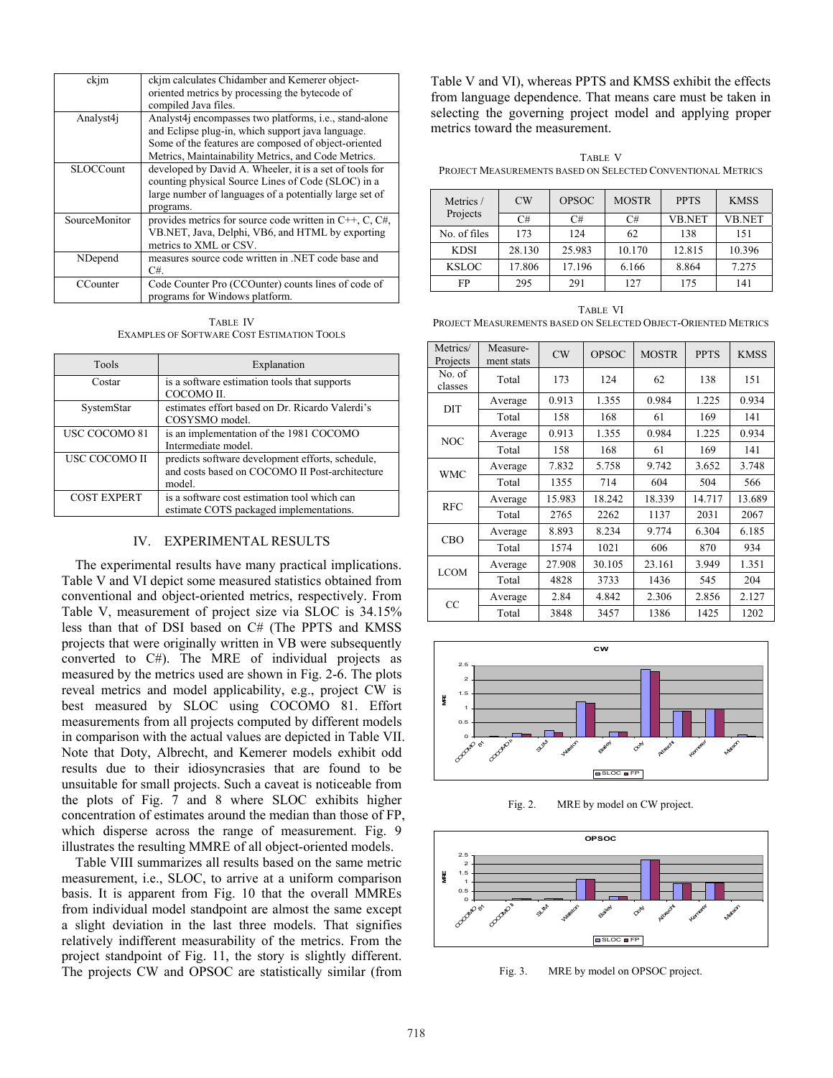| ckjm                 | ckim calculates Chidamber and Kemerer object-                  |
|----------------------|----------------------------------------------------------------|
|                      | oriented metrics by processing the bytecode of                 |
|                      | compiled Java files.                                           |
| Analyst4i            | Analyst4j encompasses two platforms, <i>i.e.</i> , stand-alone |
|                      | and Eclipse plug-in, which support java language.              |
|                      | Some of the features are composed of object-oriented           |
|                      | Metrics, Maintainability Metrics, and Code Metrics.            |
| SLOCCount            | developed by David A. Wheeler, it is a set of tools for        |
|                      | counting physical Source Lines of Code (SLOC) in a             |
|                      | large number of languages of a potentially large set of        |
|                      | programs.                                                      |
| <b>SourceMonitor</b> | provides metrics for source code written in $C++$ , C, $C\#$ , |
|                      | VB.NET, Java, Delphi, VB6, and HTML by exporting               |
|                      | metrics to XML or CSV.                                         |
| NDepend              | measures source code written in .NET code base and             |
|                      | C#.                                                            |
| CCounter             | Code Counter Pro (CCOunter) counts lines of code of            |
|                      | programs for Windows platform.                                 |

TABLE IV EXAMPLES OF SOFTWARE COST ESTIMATION TOOLS

| Tools                | Explanation                                                                                                  |
|----------------------|--------------------------------------------------------------------------------------------------------------|
| Costar               | is a software estimation tools that supports<br>COCOMO II.                                                   |
| SystemStar           | estimates effort based on Dr. Ricardo Valerdi's<br>COSYSMO model.                                            |
| USC COCOMO 81        | is an implementation of the 1981 COCOMO<br>Intermediate model.                                               |
| <b>USC COCOMO II</b> | predicts software development efforts, schedule,<br>and costs based on COCOMO II Post-architecture<br>model. |
| <b>COST EXPERT</b>   | is a software cost estimation tool which can<br>estimate COTS packaged implementations.                      |

## IV. EXPERIMENTAL RESULTS

The experimental results have many practical implications. Table V and VI depict some measured statistics obtained from conventional and object-oriented metrics, respectively. From Table V, measurement of project size via SLOC is 34.15% less than that of DSI based on C# (The PPTS and KMSS projects that were originally written in VB were subsequently converted to C#). The MRE of individual projects as measured by the metrics used are shown in Fig. 2-6. The plots reveal metrics and model applicability, e.g., project CW is best measured by SLOC using COCOMO 81. Effort measurements from all projects computed by different models in comparison with the actual values are depicted in Table VII. Note that Doty, Albrecht, and Kemerer models exhibit odd results due to their idiosyncrasies that are found to be unsuitable for small projects. Such a caveat is noticeable from the plots of Fig. 7 and 8 where SLOC exhibits higher concentration of estimates around the median than those of FP, which disperse across the range of measurement. Fig. 9 illustrates the resulting MMRE of all object-oriented models.

Table VIII summarizes all results based on the same metric measurement, i.e., SLOC, to arrive at a uniform comparison basis. It is apparent from Fig. 10 that the overall MMREs from individual model standpoint are almost the same except a slight deviation in the last three models. That signifies relatively indifferent measurability of the metrics. From the project standpoint of Fig. 11, the story is slightly different. The projects CW and OPSOC are statistically similar (from

Table V and VI), whereas PPTS and KMSS exhibit the effects from language dependence. That means care must be taken in selecting the governing project model and applying proper metrics toward the measurement.

TABLE V PROJECT MEASUREMENTS BASED ON SELECTED CONVENTIONAL METRICS

| Metrics /    | <b>CW</b> | <b>OPSOC</b> | <b>MOSTR</b> | <b>PPTS</b>   | <b>KMSS</b>   |
|--------------|-----------|--------------|--------------|---------------|---------------|
| Projects     | C#        | C#           | C#           | <b>VB.NET</b> | <b>VB.NET</b> |
| No. of files | 173       | 124          | 62           | 138           | 151           |
| <b>KDSI</b>  | 28.130    | 25.983       | 10.170       | 12.815        | 10.396        |
| <b>KSLOC</b> | 17.806    | 17.196       | 6.166        | 8.864         | 7.275         |
| FP           | 295       | 291          | 127          | 175           | 141           |

TABLE VI PROJECT MEASUREMENTS BASED ON SELECTED OBJECT-ORIENTED METRICS

| Metrics/<br>Projects | Measure-<br>ment stats | CW     | <b>OPSOC</b> | <b>MOSTR</b> | <b>PPTS</b> | <b>KMSS</b> |
|----------------------|------------------------|--------|--------------|--------------|-------------|-------------|
| No. of<br>classes    | Total                  | 173    | 124          | 62           | 138         | 151         |
| DIT                  | Average                | 0.913  | 1.355        | 0.984        | 1.225       | 0.934       |
|                      | Total                  | 158    | 168          | 61           | 169         | 141         |
| <b>NOC</b>           | Average                | 0.913  | 1.355        | 0.984        | 1.225       | 0.934       |
|                      | Total                  | 158    | 168          | 61           | 169         | 141         |
| <b>WMC</b>           | Average                | 7.832  | 5.758        | 9.742        | 3.652       | 3.748       |
|                      | Total                  | 1355   | 714          | 604          | 504         | 566         |
| <b>RFC</b>           | Average                | 15.983 | 18.242       | 18.339       | 14.717      | 13.689      |
|                      | Total                  | 2765   | 2262         | 1137         | 2031        | 2067        |
| <b>CBO</b>           | Average                | 8.893  | 8.234        | 9.774        | 6.304       | 6.185       |
|                      | Total                  | 1574   | 1021         | 606          | 870         | 934         |
|                      | Average                | 27.908 | 30.105       | 23.161       | 3.949       | 1.351       |
| <b>LCOM</b>          | Total                  | 4828   | 3733         | 1436         | 545         | 204         |
|                      | Average                | 2.84   | 4.842        | 2.306        | 2.856       | 2.127       |
| CC                   | Total                  | 3848   | 3457         | 1386         | 1425        | 1202        |



Fig. 2. MRE by model on CW project.



Fig. 3. MRE by model on OPSOC project.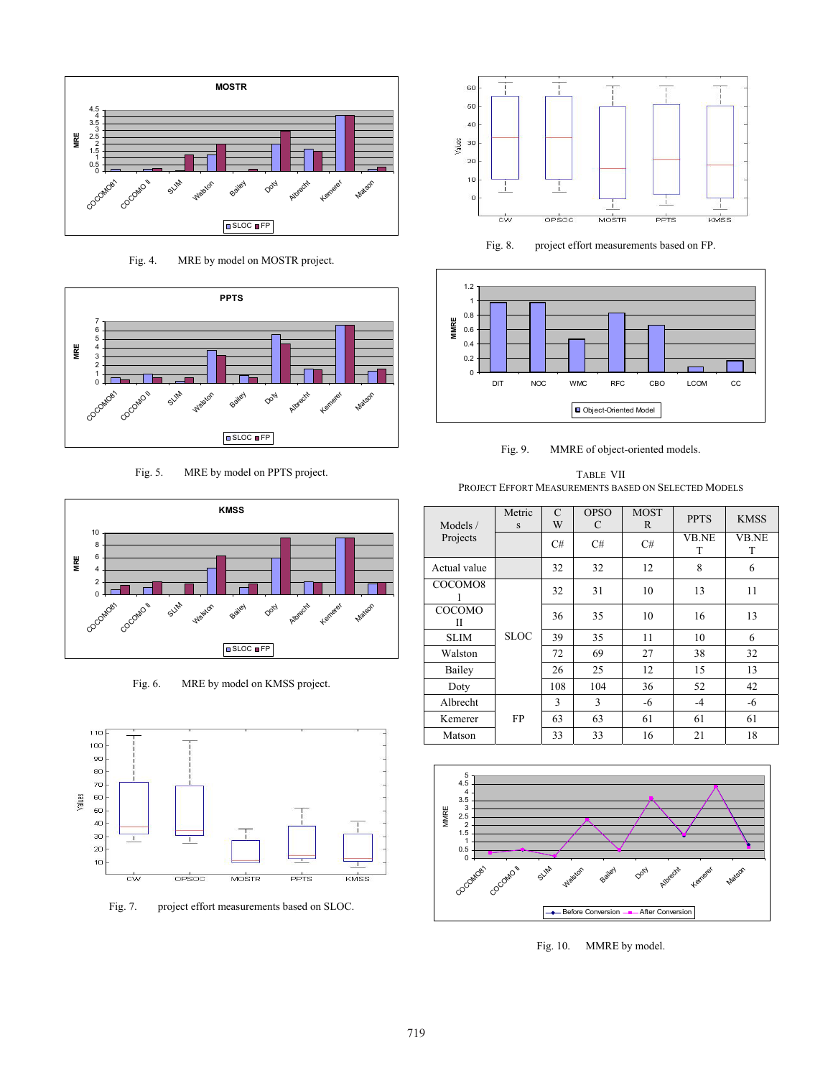

Fig. 4. MRE by model on MOSTR project.



Fig. 5. MRE by model on PPTS project.



Fig. 6. MRE by model on KMSS project.



Fig. 7. project effort measurements based on SLOC.



Fig. 8. project effort measurements based on FP.



Fig. 9. MMRE of object-oriented models.

TABLE VII PROJECT EFFORT MEASUREMENTS BASED ON SELECTED MODELS

| Models /     | Metric<br>S | $\mathcal{C}$<br>W | <b>OPSO</b><br>C | <b>MOST</b><br>R | <b>PPTS</b>       | <b>KMSS</b>       |
|--------------|-------------|--------------------|------------------|------------------|-------------------|-------------------|
| Projects     |             | C#                 | C#               | C#               | <b>VB.NE</b><br>T | <b>VB.NE</b><br>T |
| Actual value |             | 32                 | 32               | 12               | 8                 | 6                 |
| COCOMO8      | <b>SLOC</b> | 32                 | 31               | 10               | 13                | 11                |
| COCOMO<br>П  |             | 36                 | 35               | 10               | 16                | 13                |
| <b>SLIM</b>  |             | 39                 | 35               | 11               | 10                | 6                 |
| Walston      |             | 72                 | 69               | 27               | 38                | 32                |
| Bailey       |             | 26                 | 25               | 12               | 15                | 13                |
| Doty         |             | 108                | 104              | 36               | 52                | 42                |
| Albrecht     |             | 3                  | 3                | -6               | $-4$              | -6                |
| Kemerer      | FP          | 63                 | 63               | 61               | 61                | 61                |
| Matson       |             | 33                 | 33               | 16               | 21                | 18                |



Fig. 10. MMRE by model.